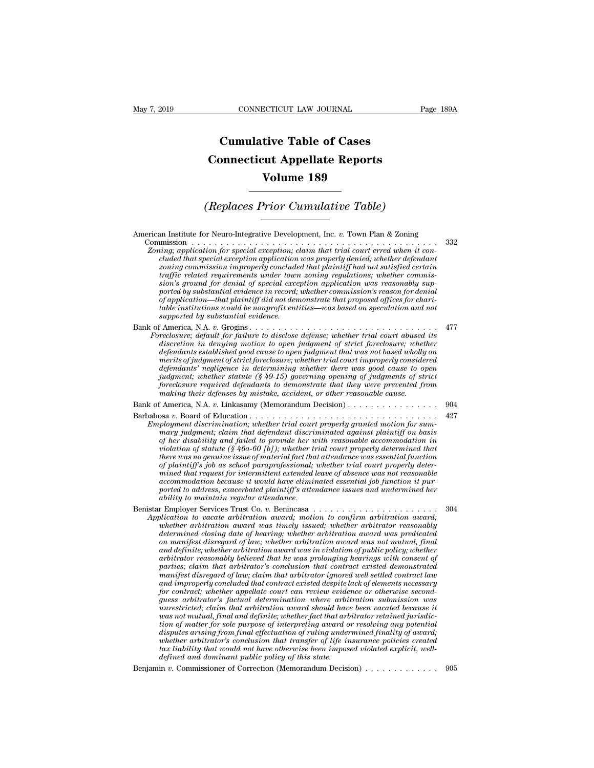## **CONNECTICUT LAW JOURNAL**<br> **Cumulative Table of Cases<br>
pnnecticut Appellate Reports CONNECTICUT LAW JOURNAL** Pag<br> **Cumulative Table of Cases**<br> **Connecticut Appellate Reports**<br> **Volume 189 ECTICUT LAW JOURNAL**<br> **Volume 189**<br> **Volume 189**<br> **Volume 189 Cumulative Table of Cases<br>
Connecticut Appellate Reports<br>
Volume 189<br>
(Replaces Prior Cumulative Table)**<br> **Constant Constant Isle & Term Plan & Zening**

American Institute for Neuro-Integrative Development, Inc. *v.* Town Plan & Zoning Commission . . . . . . . . . . . . . . . . . . . . . . . . . . . . . . . . . . . . . . . . . . . <sup>332</sup> *(Replaces Prior Cumulative Table)*<br> *Zoning*<br> *Zoning Commission*<br> *Zoning; application for special exception; claim that trial court erred when it con-<br>
cluded that special exception application was properly denied; whet complaces Prior Cumulative Table)*<br> **complacing that special exception application was properly denied;**<br> *complication for special exception; claim that trial court erred when it concluded that special exception applicat* **zoning commission**<br> **zoning**<br> **zoning**<br> **zoning**<br> **zoning**<br> **zoning**<br> **zoning**<br> **zoning**<br> **zoning**<br> **zoning**<br> **zoning**<br> **zoning**<br> **zoning**<br> **zoning**<br> **zoning**<br> **zoning**<br> **zoning**<br> **zoning**<br> **zoning**<br> **zoning**<br> **zoning**<br> *traffic related requirements under town zoning regulations; whether commission's ground for denial of special exception application was reasonably supported by substantial evidence in record; whether commission's reason for denial of application for special exception, claim that trial court erred when it controlled that special exception application was properly denied, whether defendant clouded that special exception application was properly denie table institutions for special exception; claim that trial court erred when it concluded that special exception application was properly denied; whether defendant zoning commission inproperly denied that plaintiff had not cluded that special exception application*<br>*zoning commission improperly conclude*<br>*traffic related requirements under town*<br>*sion's ground for denial of special exception-bate ported by substantial evidence in record;*<br> For a constrained to a second the property of the term is the second to the america, the term is sion's ground for denial of special exception application was reasonably supported by substantial evidence in record; whether *Foreclosure; default for denial of special exception application, takes comes*<br>sion's ground for denial of special exception application was reasonably sup-<br>ported by substantial evidence in record; whether commission's r *discretion in deniation in excelent and the production in the case of strictation in the institutions would be nonprofit entities—was based on speculation and not supported by substantial evidence in record; whether commi defendants established controllation—that plaintiff did not demonstrate that proposed offices for charitable institutions would be nonprofit entities—was based on speculation and not supported by substantial evidence.*<br> *merits of judgment of strict foreclosure; whether trial court improperly considered defendants' negligence in determining whether there was determining there is apported by substantial evidence*.<br> *defendants* and there is a disclose defense; whether trial court abused its discretion in denying motion to *judgment; whether statute (§ 49-15) governing opening of judgments of strict foreclosure; default for failure to disclose defense; whether trial court abused its* reclosure; default for failure to disclose defense; whether trial court abused its discretion in denying motion to open judgment of str *mechosure; default for failure to disclose defense; whether trial court abused* discretion in denying motion to open judgment of strict foreclosure; whete padants established good cause to open judgment it hat was not bas defendants established good cause to open judgment that was not based wholly on<br>merits of judgment of strict foreclosure; whether trial court improperly considered<br>defendants' negligence in determining whether there was go merits of judgment of strict foreclosure; whether trial court improperly considered<br>defendants' negligence in determining whether there was good cause to open<br>judgment; whether statute (§ 49-15) governing opening of judgme *defendants' negligence in determining whether there was good cause to open*<br>*judgment*; whether statute (§ 49-15) governing opening of judgments of strict<br>foreclosure required defendants to demonstrate that they were prev *indgment; whether statute (§ 49-15) governing opening of judgments of strict* foreclosure required defendants to demonstrate that they were prevented from making their defenses by mistake, accident, or other reasonable ca *foreclosure required defendants to demonstrate that they were prevented from*<br> *making their defenses by mistake, accident, or other reasonable cause.*<br> *Camerica, N.A. v. Linkasamy (Memorandum Decision)*<br> *of her Board o violation of statute (§ 46a-60 [b]); whether trial court properly determined that there was no genuine issue of material fact that attendance was essential function of plaintiff's job as school paraprofessional; whether trial court properly determind that request for intermination, whether trial court properly granted motion for summary judgment; claim that defendant discriminated against plaintiff on basis mary judgment; claim that defendant discriminated agains* ployment discrimination; whether trad court property granted motion for sum-<br>mary judgment; claim that defendant discriminated against plaintiff on basis<br>of her disability and failed to provide her with reasonable accommod *ported to address, exacerbated to provide her with reasonable accommodation in violation of statute (§46a-60 [b])*, whether trial court properly determined that there was no genuine issue of material fact that attendance *af her disability and failed to provide her w*<br>*idence was no genuine issue of material fact that*<br>*idence was no genuine issue of material fact that*<br>*af plaintiff's job as school paraprofessional;*<br>*mined that request f* there was no genuine issue of material fact that attendance was essential function<br>of plaintiff's job as school paraprofessional; whether trial court properly deter-<br>mined that request for intermittent extended leave of ab *Application to vacate arbitration award;* maximum and that increases are arbitration of plaintiff's job as school paraprofessional; whether trial court property determined that request for intermittent extended leave of a *whether arbitration award was timely issued; where*  $\overline{v}$  *is*  $\overline{v}$  *in mined that request for intermittent extended leave of absence was not reasonable accommodation because it would have eliminated essential job fun decommodation because it would have eliminated essential job function it purported to address, exacerbated plaintiff's attendance issues and undermined her ability to maintain regular attendance.*<br> **r** Employer Services T *contration socialistics* conduct a beat matter disregard of law intermined her ability to maintain regular attendance.<br> **contract the manifest of lawism and the arbitration award,** and intermined her arbitration to vacate *and definite; whether arbitration award was in violation of public policy; whether arbitrator reasonably believed that he was prolonging hearings with consent of parties; claim to vacate arbitration award; motion to continent arbitration award; motion to vacate arbitration award was timely issued; whether arbitrator reasonably determined closing date of hearing; whether arbitratio manifest* disregard of law; and the control of the control of the control are distinguistively determined closing date of hearing; whether arbitrator reasonably doen manifest disregard of law; whether arbitration award wa *and interimient around ward was timely issued; whether arbitration reasonably*<br>*atermined closing date of hearing; whether arbitration award was predicated*<br>*and definite; whether arbitration award was in violation of pub determined closing date of hearing; whether arbitration award was predicated*<br>on manifest disregard of law; whether arbitration award was not mutual, final<br>and definite; whether arbitration award was in violation of publi on manylest disregard of law; whether arbitration award was not mutual, final and definite; whether arbitration award was in violation of public policy; whether arbitrator's casonably believed that he was prolonging hearin and definite; whether arbitration award was in violation of public policy; whether arbitrator reasonably believed that he was prolonging hearings with consent of parties; claim that arbitrator's conclusion that contract ex arbitrator reasonably believed that he was prolonging hearings with consent of<br>parties; claim that arbitrator's conclusion that contract existed demonstrated<br>manifest disregard of law; claim that arbitrator ignored well se parties; claim that arbitrator's conclusion that contract existed demonstrated<br>manifest disregard of law; claim that arbitrator ignored well settled contract law<br>and improperly concluded that contract existed despite lack manylest disregard of law; claim that arbitrator ignored well settled contract law<br>and improperly concluded that contract existed despite lack of elements necessary<br>for contract; whether appellate court can review evidence and improperty concluded that contract existed despite lack of elements necessary<br>for contract; whether appellate court can review evidence or otherwise second-<br>guess arbitrator's factual determination where arbitration su for contract; whether appellate court can review evidence or otherwise second-<br>guess arbitrator's factual determination where arbitration submission was<br>unrestricted; claim that arbitration award should have been vacated b *guess arbitrator's jactual determination where arbitanestricted; claim that arbitration award should have as not mutual, final and definitie; whether fact that arbitrator's tion of matter for sole purpose of interpreting vas not mutual, final and definite; whether fact that arbitrator retained jurisdiction of matter for sole purpose of interpreting award or resolving any potential disputes arising from final effectuation of ruling undermi*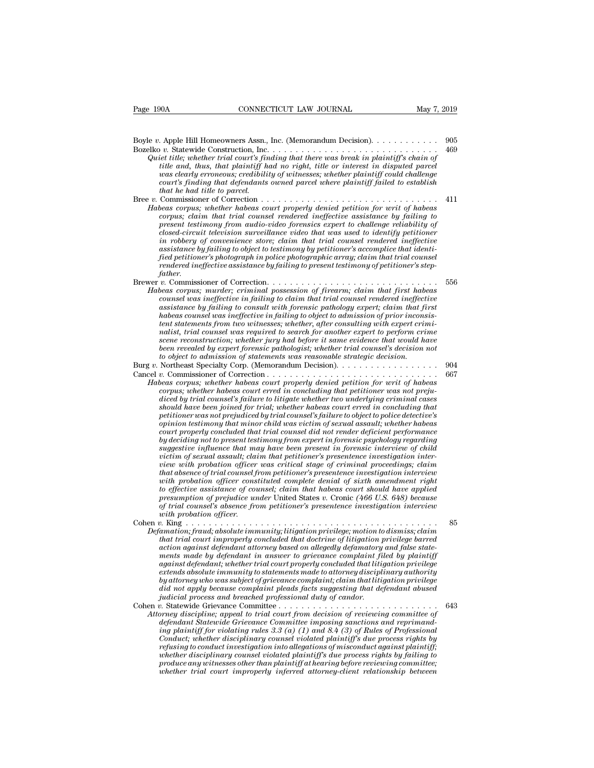Boyle *<sup>v</sup>*. Apple Hill Homeowners Assn., Inc. (Memorandum Decision). . . . . . . . . . . . <sup>905</sup> Bozelko *v.* Statewide Construction, Inc. . . . . . . . . . . . . . . . . . . . . . . . . . . . . . <sup>469</sup> *Quiet title; whether trial court's finding that there was break in plaintiff's chain of*  $Q$ uiet *title; whether trial court's finding that there was break in plaintiff's chain of title and, thus, that plaintiff and no tion* and a construction and a temperature and the plaintiff had no right, the plaintiff in the plaintiff is chain of the title, whether trial court's finding that there was break in plaintiff's chain of title and, thus, *was clearly erroneous; credibility of witnesses; whether plaintiff could challenge court's finding that defendants owned parcel where plaintiff failed title; whether trial court's finding that there was break in plaintiff's chain of title and, thus, that plaintiff had no right, title or interest in dis that the Hill Homeowners Assn.,*<br> *to v.* Statewide Construction, Inc.<br> *iet title; whether trial court's finitie and, thus, that plaintiff hows clearly erroneous; credibili<br>
court's finding that defendants<br>
that he had t* Bree *v.* Commissioner of Correction . . . . . . . . . . . . . . . . . . . . . . . . . . . . . . . <sup>411</sup> *Habeas corpus; whether habeas court properly denied petition for writ of habeas corpus; whether trial court's pracing that there was oreak in plaintiffs call rendered in disputed parcel was clearly erroneous; credibility of witnesses; whether plaintiff could challenge court's finding that defendants present testimony from audio-video forensics* certimony from an and applied parcel where court's finding that defendants owned parcel where plaintiff could challenge court's finding that defendants owned parcel where plai *closed-circuit aletterial of winesses; whether plannty could challenge*<br> *court's finding that defendants owned parcel where plaintiff failed to establish*<br> *chal that he had tilte to parcel.*<br> *Commissioner of Correction in robbery of convenience store; claim that trial counsel rendered ineffective assimissioner of Correction*<br> *Commissioner of Correction*<br> *Commissioner in the that trial counsel rendered ineffective assistance by failing to*<br> *present testimony from audio-video forensics expert to challenge reliabi fied petitioner's photograph in police photographic array; claim that trial counsel rendered ineffective assistance by failing to*<br>*rendered ineffective assistance by failing to*<br>*resent testimony from audio-video forensics expert to challenge reliability of*<br>*closed-circuit television surveillance video father.* Fresent testimony from audio-video forensics expert to challenge retiduity of<br>closed-circuit television surveillance video that was used to identify petitioner<br>in robbery of convenience store; claim that trial counsel rend *Habeas corpus; murdering the corpusion survey is different in robbery of convenience store; claim that trial counsel rendered ineffective assistance by failing to object to testimony by petitioner's accomplice that identi conomy of convenience store; claim that trial counsel rendered ineffective assistance by failing to object to testimony by petitioner's accomplice that identified petitioner's photograph in police photographic array; clai assistance by failing to object to testimony by pertitioner's accomptice that identi-<br>field pertitioner's photograph in police photographic array; claim that trial counsel<br>rendered ineffective assistance by failing to pre hea petutoner's photograph in pouce photographic array; claim that trial counsel<br>rendered ineffective assistance by failing to present testimony of petitioner's step-<br>father.<br>
<i>v*. Commissioner of Correction. . . . . . . *tenters*<br>*tenter.*<br>*to. Commissioner of Correction.*<br>*to. commissioner of Correction.*<br>*tenses corpus; murder; criminal possession of firearm; claim that first habeas<br>counsel was ineffective in failing to claim that trial nalistian:* The commissioner of Correction.<br> *n* Commissioner of Correction.<br> *nalistiance was ineffective in failing to claim that trial counsel rendered ineffective*<br> *assistance by failing to consult with forensic path scene reconstruction; whether jury had before it same evidence that would have becomised was ineffective in failing to claim that trial counsel rendered ineffective*<br>assistance by failing to consult with forensic pathology expert; claim that first<br>habeas counsel was ineffective in failing to object *tent statements from two witnesses; whether, after consulting with expert crimi*assistance by jailing to consult with jorensic pallotogy expert; carm that jirst<br>habeas connel was ineffective in failing to object to admission of prior inconsis-<br>tent statements from two witnesses; whether, after consult magnes was engineer a juming worder and the commission of prior material tent statements from two witnesses; whether, after consulting with expert criminalist, trial counsel was required to search for another expert to per *Habeas corpus; whether habeas required to search for another expert construction; whether jury had before it same evidence that would have been revealed by expert forensic pathologist; whether trial counsel's decision not corpus for the right in the construction, whether jury had before it same evidence that would have been revealed by expert forensic pathologist; whether trial counsel's decision not to object to admission of statements wa dicen reconstruction, uneatier jary had oggive a same evaluate bala would have been revealed by expert forensic pathologist; whether trial counsel's decision not to object to admission of statements was reasonable strateg should have been revealed by expert jorensic palloonglist; whether trial courtset is decision tool* by actributed to the abeas for the abeas corred in concluding that peritorion.<br> *Northeast Specialty Corp.* (Memorandum D *policially* Corp. (Memorandum Decision).<br> *periodically* Corp. (Memorandum Decision).<br> *periodically* Corpussioner of Correction.<br> *peas corpus; whether habeas court erred in concluding that petition for writ of habeas<br>
c opinion testimony that minor child was victim of sexual assault; whether habeas court properly concluded that trial counsel did not render deficient performance beas corpus; whether habeas court property denied petition for writ of habeas* corpus; whether habeas court erred in concluding that petitioner was not prejudiced by trial counsel's failure to litigate whether two underly *suggestive influences court erred in concluding that petitioner was not prejudiced by trial counsel's failure to litigate whether two underlying criminal cases should have been joined for trial; whether habeas court cred vertioner was not prejudiced by trial counsel's failure to object to police detective's opinion testimony that minor child was victim of sexual assault; whether habeas court properly concluded that trial counsel did n view that the been joined for trial; whether habeas court erred in concluding that*<br>petitioner was not prejudiced by trial coursel's failure to object to police detective's<br>court properly concluded that trial coursel did petitioner was not prepudiced by trial counsel's failure to object to police detective's<br>opinion testimony that minor child was victim of sexual assault; whether habeas<br>court properly concluded that trial counsel did not r *opmion testimony that minor child was victim of sexual assault; whether habeas* court properly concluded that trial counsel did not render deficient performance by deciding not to present testimony from expert in forensic *tourt property concluded that trad counsel did not render deficient performance*<br>by deciding not to present testimony from expert in forensic psychology regarding<br>victim of sexual assault; claim that petitioner's presente *by deciding not to present testimony from expert in forensic psychology regarding*<br>suggestive influence that may have been present in forensic interview of child<br>victim of sexual assault; claim that petitioner's presenten *of trial counsel trial may have been present in jorensic interview of child*<br>victim of sexual assault; claim that petitioner's presentence investigation interview<br>with probation officer was critical stage of criminal proc *with probation officer constituted complete denial of sixth amendment right to effective assistance of counsel; claim that habeas court should have applied presumption of prejudice under United States v. Cronic (466 U.S.* reaw with probation officer was critical stage of criminal proceedings; carm<br>that absence of trial counsel from petitioner's presentence investigation interview<br>with probation officer constituted complete denial of sixth a *Defective assistance of craitived complete denial of sixth arendment right*<br>to effective assistance of counsel; claim that habeas court should have applied<br>presumption of prejudice under United States v. Cronic (466 U.S. *that probation of preer constituted complete dential of sixth amendment right* to effective assistance of coursel; claim that habeas court should have applied presumption of prejudice under United States v. Cronic (466 U. *to effective assistance of counsel, claim that habeas court should have applied* of *trial counsel's absence from petitioner's presentence investigation interview* of *trial counsel's absence from petitioner's presentence mention of preplaine under United States v. Uronic (400 U.S. 048) oecallse*<br>*of trial counsel's absence from petitioner's presentence investigation interview*<br>*with probation officer.*<br>*w. King* . . . . . . . . . . . . . *against defendant; whether trial court properly concluded that litigation interview*<br>*amation; fraud; absolute immunity; litigation privilege; motion to dismiss; claim*<br>*amation; fraud; absolute immunity; litigation privi extends absolute immunity; litigation privilege; motion to dismiss; claim*<br> *extendion; fraud; absolute immunity; litigation privilege; motion to dismiss; claim*<br> *that trial court improperly concluded that doctrine of li by attorney who was subject of grievance complaint; claim that litigation privilege* amation; fraud; absolute immunity; litigation privilege; motion to dismiss; claim<br>that trial court improperly concluded that doctrine of litigation privilege barred<br>action against defendant in answer to grievance complaint *ihat trual court improperty concluded that doctrine of litigation partion against defendant attorney based on allegedly defamatory ments made by defendant in answer to grievance complaint filestends absolute immunity to s* action against aegenaant attorney oasea on attegeary aegamatory and jase state-<br>ments made by defendant in answer to grievance complaint filed by plaintiff<br>against defendant; whether trial court properly concluded that lit *Attorney discipline; whether trial court property concluded that litigation privilege*<br>extends absolute immunity to statements made to attorney disciplinary authority<br>by attorney who was subject of grievance complaint; cl *defendant Statewide immunity to statements made to attorney disciplinary authority of patternals absolute immunity to statements made to attorney disciplinary authority by attorney who was subject of grievance complaint, extends absolute immining to statements made to attorney aiscipinary authority* by attorney who was subject of grievance complaint; claim that litigation privilege did not apply because complaint pleads facts suggesting t *Conduction and Subject of grievance complaint; claim that it it and therefore indial not apply because complaint pleads facts suggesting that defendant abused indicial process and breached professional duty of candom and refusing to conduct investigation into allegations of misconduct against plaintiff; whether disciplinary counsel in the method in the there were the windown the Street Street and terms defendant Statewide Grievance Committee imposing sanctions and reprimanding plaintiff for violating rules 3.3 (a) (1) an produce any discipline; appeal to trial court from decision of reviewing committee of*  $\frac{43}{2}$  *product ferial committee imposing sanctions and reprimand-defendant Statewide Grievance Committee imposing sanctions and whether discriptine; appeal to trial court from decision of reviewing committee of*<br>defendant Statewide Grievance Committee imposing sanctions and reprimand-<br>ing plaintiff for violating rules 3.3 (a) (1) and 8.4 (3) of Ru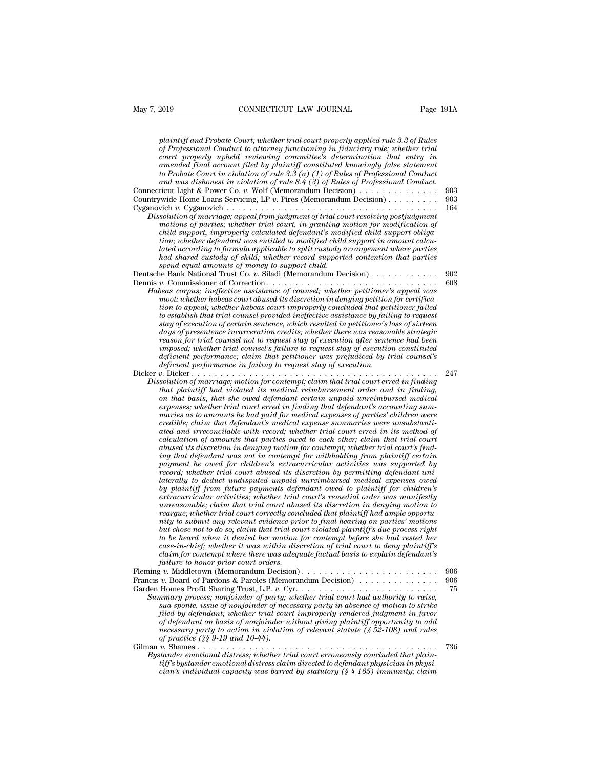| May 7, 2019<br>CONNECTICUT LAW JOURNAL                                                                                                                                                                                                                                                                                                                                                                                                                                                                                                                                                                                                                                                                                                                                                                                                                                                                                                                                                                                                                                                                                                                                                                                                                                                                                                                                                                                                                                                                                                                                                                                                                                                                                                                                                                                           | Page 191A        |
|----------------------------------------------------------------------------------------------------------------------------------------------------------------------------------------------------------------------------------------------------------------------------------------------------------------------------------------------------------------------------------------------------------------------------------------------------------------------------------------------------------------------------------------------------------------------------------------------------------------------------------------------------------------------------------------------------------------------------------------------------------------------------------------------------------------------------------------------------------------------------------------------------------------------------------------------------------------------------------------------------------------------------------------------------------------------------------------------------------------------------------------------------------------------------------------------------------------------------------------------------------------------------------------------------------------------------------------------------------------------------------------------------------------------------------------------------------------------------------------------------------------------------------------------------------------------------------------------------------------------------------------------------------------------------------------------------------------------------------------------------------------------------------------------------------------------------------|------------------|
| plaintiff and Probate Court; whether trial court properly applied rule 3.3 of Rules<br>of Professional Conduct to attorney functioning in fiduciary role; whether trial<br>court properly upheld reviewing committee's determination that entry in<br>amended final account filed by plaintiff constituted knowingly false statement<br>to Probate Court in violation of rule $3.3(a)$ (1) of Rules of Professional Conduct<br>and was dishonest in violation of rule $8.4$ (3) of Rules of Professional Conduct.                                                                                                                                                                                                                                                                                                                                                                                                                                                                                                                                                                                                                                                                                                                                                                                                                                                                                                                                                                                                                                                                                                                                                                                                                                                                                                                |                  |
| Connecticut Light & Power Co. v. Wolf (Memorandum Decision) $\ldots \ldots \ldots \ldots$                                                                                                                                                                                                                                                                                                                                                                                                                                                                                                                                                                                                                                                                                                                                                                                                                                                                                                                                                                                                                                                                                                                                                                                                                                                                                                                                                                                                                                                                                                                                                                                                                                                                                                                                        | 903              |
| Countrywide Home Loans Servicing, LP v. Pires (Memorandum Decision)                                                                                                                                                                                                                                                                                                                                                                                                                                                                                                                                                                                                                                                                                                                                                                                                                                                                                                                                                                                                                                                                                                                                                                                                                                                                                                                                                                                                                                                                                                                                                                                                                                                                                                                                                              | 903<br>164       |
| Dissolution of marriage; appeal from judgment of trial court resolving postjudgment<br>motions of parties; whether trial court, in granting motion for modification of<br>child support, improperly calculated defendant's modified child support obliga-<br>tion; whether defendant was entitled to modified child support in amount calcu-<br>lated according to formula applicable to split custody arrangement where parties<br>had shared custody of child; whether record supported contention that parties<br>spend equal amounts of money to support child.                                                                                                                                                                                                                                                                                                                                                                                                                                                                                                                                                                                                                                                                                                                                                                                                                                                                                                                                                                                                                                                                                                                                                                                                                                                              |                  |
| Deutsche Bank National Trust Co. v. Siladi (Memorandum Decision)                                                                                                                                                                                                                                                                                                                                                                                                                                                                                                                                                                                                                                                                                                                                                                                                                                                                                                                                                                                                                                                                                                                                                                                                                                                                                                                                                                                                                                                                                                                                                                                                                                                                                                                                                                 | 902              |
| Habeas corpus; ineffective assistance of counsel; whether petitioner's appeal was<br>moot; whether habeas court abused its discretion in denying petition for certifica-<br>tion to appeal; whether habeas court improperly concluded that petitioner failed<br>to establish that trial counsel provided ineffective assistance by failing to request<br>stay of execution of certain sentence, which resulted in petitioner's loss of sixteen<br>days of presentence incarceration credits; whether there was reasonable strategic<br>reason for trial counsel not to request stay of execution after sentence had been<br>imposed; whether trial counsel's failure to request stay of execution constituted<br>deficient performance; claim that petitioner was prejudiced by trial counsel's<br>deficient performance in failing to request stay of execution.                                                                                                                                                                                                                                                                                                                                                                                                                                                                                                                                                                                                                                                                                                                                                                                                                                                                                                                                                                | 608              |
| Dissolution of marriage; motion for contempt; claim that trial court erred in finding                                                                                                                                                                                                                                                                                                                                                                                                                                                                                                                                                                                                                                                                                                                                                                                                                                                                                                                                                                                                                                                                                                                                                                                                                                                                                                                                                                                                                                                                                                                                                                                                                                                                                                                                            | 247              |
| that plaintiff had violated its medical reimbursement order and in finding,<br>on that basis, that she owed defendant certain unpaid unreimbursed medical<br>expenses; whether trial court erred in finding that defendant's accounting sum-<br>maries as to amounts he had paid for medical expenses of parties' children were<br>credible; claim that defendant's medical expense summaries were unsubstanti-<br>ated and irreconcilable with record; whether trial court erred in its method of<br>calculation of amounts that parties owed to each other; claim that trial court<br>abused its discretion in denying motion for contempt; whether trial court's find-<br>ing that defendant was not in contempt for withholding from plaintiff certain<br>payment he owed for children's extracurricular activities was supported by<br>record; whether trial court abused its discretion by permitting defendant uni-<br>laterally to deduct undisputed unpaid unreimbursed medical expenses owed<br>by plaintiff from future payments defendant owed to plaintiff for children's<br>extracurricular activities; whether trial court's remedial order was manifestly<br>unreasonable; claim that trial court abused its discretion in denying motion to<br>reargue; whether trial court correctly concluded that plaintiff had ample opportu-<br>nity to submit any relevant evidence prior to final hearing on parties' motions<br>but chose not to do so; claim that trial court violated plaintiff's due process right<br>to be heard when it denied her motion for contempt before she had rested her<br>case-in-chief; whether it was within discretion of trial court to deny plaintiff's<br>claim for contempt where there was adequate factual basis to explain defendant's<br>failure to honor prior court orders. |                  |
| Francis v. Board of Pardons & Paroles (Memorandum Decision)<br>Summary process; nonjoinder of party; whether trial court had authority to raise,<br>sua sponte, issue of nonjoinder of necessary party in absence of motion to strike<br>filed by defendant; whether trial court improperly rendered judgment in favor<br>of defendant on basis of nonjoinder without giving plaintiff opportunity to add<br>necessary party to action in violation of relevant statute $(\frac{8}{3}52-108)$ and rules<br>of practice (§§ $9-19$ and $10-44$ ).                                                                                                                                                                                                                                                                                                                                                                                                                                                                                                                                                                                                                                                                                                                                                                                                                                                                                                                                                                                                                                                                                                                                                                                                                                                                                 | 906<br>906<br>75 |
| Bystander emotional distress; whether trial court erroneously concluded that plain-<br>tiff's bystander emotional distress claim directed to defendant physician in physi-<br>cian's individual capacity was barred by statutory $(\frac{6}{7}4-165)$ immunity; claim                                                                                                                                                                                                                                                                                                                                                                                                                                                                                                                                                                                                                                                                                                                                                                                                                                                                                                                                                                                                                                                                                                                                                                                                                                                                                                                                                                                                                                                                                                                                                            | 736              |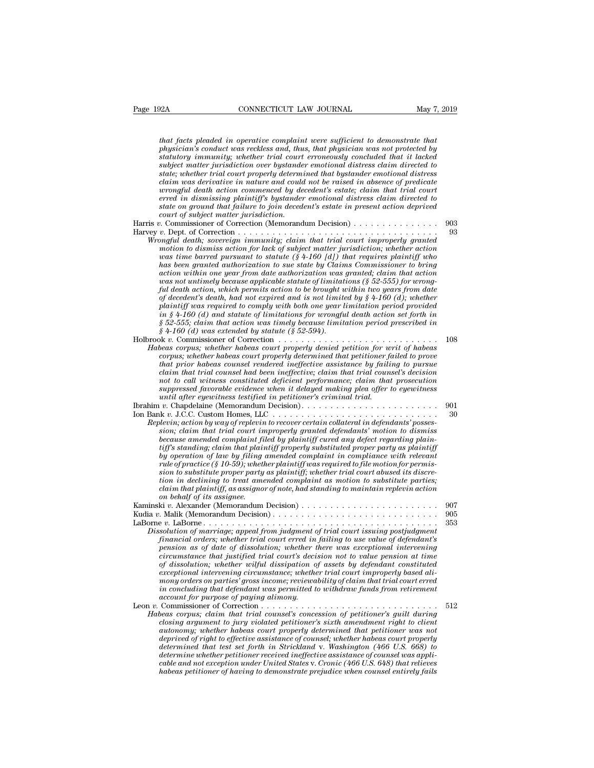*that facts pleaded in operative complaint were sufficient to demonstrate that*<br>*physician's conduct was reckless and, thus, that physician was not protected by*<br>*statutory immunity: whether trial court erromeously conclud physicianta conduct was reconducted to demonstrate that*<br>*physician's conduct was reckless and, thus, that physician was not protected by*<br>*physician's conduct was reckless and, thus, that physician was not protected by*<br> **Statutory immunity; whether trial conventions** of the statutory immunity; whether trial complaint were sufficient to demonstrate that physician's conduct was reckless and, thus, that physician was not protected by statuto *subsection matter matter in the matter matter matter in the rigidinal distrement to demonstrate that*<br>that facts pleaded in operative complaint were sufficient to demonstrate that<br>physician's conduct was reckless and, thu *state; that facts pleaded in operative complaint were sufficient to demonstrate that physician's conduct was reckless and, thus, that physician was not protected by statutory immunity; whether trial court erroneously co chat facts pleaded in operative complaint were sufficient to demonstrate that physician's conduct was reckless and, thus, that physician was not protected by statutory immunity; whether trial court erroneously concluded what facts pleaded in operative complaint were sufficient to demonstrate that physician's conduct was reckless and, thus, that physician was not protected by statutory immunity; whether trial court erroneously concluded that jacts pleaded in operative complaint were sufficient to demonstrate that physician's conduct was reckless and, thus, that physician was not protected by standitory immunity; whether trial court erroneously concluded* physician's conduct was reckless and, thus, that physician was not protected by<br>statutory immunity; whether trial court erroneously concluded that it lacked<br>subject matter jurisdiction over by stander emotional distress cl *court subject matter jurisdiction over byztande*<br>*court subject matter jurisdiction over byztande*<br>*claim was derivative in nature and could*<br>*wrongful death action commenced by de*<br>*erred in dismissing plaintiff's byztan* subject matter jurisdiction over bystander emotional distress claim directed to<br>state; whether trial court properly determined that by stander emotional distress<br>claim was derivative in nature and could not be raised in ab Facture *vienter trial court property determined that of be raised in absence of predicate*<br> *vienal death action commenced by decedent's estate; claim that trial court*<br> *erred in dismissing plaintiff's bystander emotiona Carm was aerivative in nature and could not be raised in absence of predicale wrongful death action commenced by decedent's estate; claim that trial court erred in dismissing plaintiff's bystander emotional distress claim motion to dismissing plaintiff's by stander emotional distress claim und trud court* of subject matter *dismissing plaintiff's bystander emotional distress claim directed to* state on ground that failure to join decedent' *was the or ground that failure to join decedent's estate in present action deprived*<br> *was tate on ground that failure to join decedent's estate in present action deprived*<br> *was to a failure for the pursuant to statute ( has been granted authorization to sue state by Claims Commissioner to bring action with subject matter jarisatction.*<br> *action with the correction (Memorandum Decision)*<br> *action correction with the authorization was fine death; sovereign immunity; claim that trial court improperly granted<br>
motio was not untimely because applicable statute of limitations (§ 52-555) for wrongful death, sovereign immunity; claim that trial court improperly granted*<br>magful death; sovereign immunity; claim that trial court improperly granted<br>most on to dismiss action for lack of subject matter jurisdiction; whet *motion to dismiss action for lack of subject matter jurisdiction; whether action* was time barred pursuant to statute  $(\S 4-160 \text{ [d]})$  that requires plaintiff who has been granted authorization to sue state by Claims Co *motion to dismiss action for lack of subject matter jurisdiction; whether action* was time barred pursuant to statute (§ 4-160 [d]) that requires plaintiff who has been granted authorization to sue state by Claims Commis *in in the barred pursuant to statute (§ 4-100 [d]) that requires plaintiff who*<br>has been granted authorization to sue state by Claims Commissioner to bring<br>action within one year from date authorization was granted; clai *has been granted authorization to sue state by Claims Commissioner to bring*<br>action within one year from date authorization was granted; claim that action<br>was not untimely because applicable statute of limitations (§ 52-*§ 4-160 (d) was extended by statute (§ 52-594).* vas not untimely occluse applicable statute of timitations (§ 52-555) for wrong-<br>ful death action, which permits action to be brought within two years from date<br>of decedent's death, had not expired and is not limited by § *Habeas corpus; whether habeas court properly denied by \$4-160 (d); whether* plaintiff was required to comply with both one year limitation period provided in \$4-160 (d) and statute of limitations for wrongful death action *in*  $§$  4-160 (*d*) and statute of limitations for wrongful death action set forth in<br>  $§$  52-555; claim that action was timely because limitation period prescribed in<br>  $§$  4-160 (*d*) was extended by statute ( $§$  52-594 plannty was required to compty with both one year umitation period provided<br>in § 4-160 (d) and statute of limitations for wrongful death action set forth in<br>§ 82-555; claim that action was timely because limitation period *ch*  $\S$  4-100 (*d*) and statute of lamitations for wrongful death action set forth in  $\S$  52-555; claim that action was trimely because limitation period prescribed in  $\S$  4-160 (*d*) was extended by statute ( $\S$  52-54). *n not to call wither to call wither to call wither to call with the commissioner of Correction ............*<br> *notes corpus; whether habeas court properly denied petition for writ of habeas corpus; whether habeas court suppressed favorable evidence when it delayed making plea offer to eyewitness until after that as commissioner of Correction*<br>*beas corpus; whether habeas court properly denied petition for we corpus; whether habeas court properly determined that petitioner f<br>that prior habeas counsel rendered inef* Habeas corpus; unether habeas court property dented that petitioner failed to prove<br>corpus; whether habeas court properly determined that petitioner failed to prove<br>that prior habeas counsel redered ineffective assistance Forms, whener have as court property determined that perturber jailed to prove<br>that prior habeas counsel rendered ineffective assistance by failing to pursue<br>claim that trial counsel and been ineffective; claim that trial *Replevin that trial counsel had been ineffective; claim that trial counsel's decision to to call witness constituted deficient performance; claim that prosecution suppressed favorable evidence when it delayed making plea claim that trial courset had been ineffective; claim that trial courset s accision*<br>*not to call witness constituted deficient performance; claim that prosecution*<br>*suppressed favorable evidence when it delayed making ple because any interess consulted a discremi performance; claim that prosecution*<br>suppressed favorable evidence when it delayed making plea offer to eyewitness<br>until after eyewitness testified in petitioner's criminal trial. *tiff's standing; claim that plaintiff properly substituted proper party as plaintiff by operation of law by filing amended complaint in compliance with relevant* Ion Bank v. J.C.C. Custom Homes, LLC  $\ldots$  cover certain collateral in defendants' possession; claim that trial court improperly granted defendants' motion to dismiss because amended complaint filed by plaintiff cured any *sion*; action by way of replevin to recover certain collateral in defendants' possession; claim that trial court improperly granted defendants' motion to dismission; claim that rial court improperly granted defendants' mo *therm*, actron by way of replevin to recover certain collateral in defendants' possession; claim that trial court improperly granted defendants' motion to dismissecause amended complaint filed by plaintiff cured any defec *claim that trial court improperty granted defendants' motion to dismiss*<br>because amended complaint filed by plaintiff cured any defect regarding plain-<br>tiff's standing; claim that plaintiff properly substituted proper par *because amended complaint fi*<br>*tiff's standing; claim that plain<br>by operation of law by filing<br>rule of practice (§ 10-59); whetl<br>sion to substitute proper party<br>tion in declining to treat ame<br>claim that plaintiff, as assi vary s standing; claim that plaintiff property substituted proper party as plaintiff by operation of law by filing amended complaint in compliance with relevant rule of practice (\$ 10-59); whether plaintiff was required t vale operation of uaw of Juring amended computant in computance with relevant<br>rule of practice (§ 10-59); whether plaintiff was required to file motion for permis-<br>sion to substitute proper party as plaintiff whether tria* Factor particle (*x* 1-35), under particle in the plaintiff) whether trial court abused its discretion in declining to treat amended complaint as motion to substitute parties; claim that plaintiff, as assignor of note, had *Dissolution in declining to treat amended complaint as motion to substitute parties;*<br>*dain that plaintiff, as assigner of note, had standing to maintain replevin action*<br>*on behalf of its assignee.*<br>inski v. Alexander (M *financial orders; assigner of note, had standing to maintain replevin action*<br>considerating of the sassigner of note, had standing to maintain replevin action<br>on behalf of its assignee.<br> $\frac{1}{2}$  which (Memorandum Decisio *pension as of date of dissolution; whether there was exceptional intervening circumstance that justified trial court's decision not to value pension at time of* dissolution; when the dissolution; where  $\alpha$  as the dissolution of marriage; appeal from judgment of trial court issuing postjudgment financial orders; whether trial court erred in failing to use value of defendant's *exceptional intervening circumstance; whether trial court improperly based alimong to the increase of particularity of trial court issuing postjudgment of trial court issuing postjudgment* financial orders; whether trial court erred in failing to use value of defendant's pension as of date of disso *isolution of marriage; appeal from juagment of trial court issuing postjudgment*<br>financial orders; whether trial court erred in failing to use value of defendant's<br>persion as of date of dissolution; whether there was exce *financial orders; whether trial court erred in failing to use value of defendant's* pension as of date of dissolution; whether there was exceptional intervening circumstance that justified trial court's decision not to va pension as of aate of assolution; whether there was exceptional intervening<br>circumstance that justified trial court's decision not to value pension at time<br>of dissolution; whether wilful dissipation of assets by defendant *Correlation; whether withat dissipation of assets by defendant constituted*<br>exceptional intervening circumstance; whether trial court improperly based ali-<br>mony orders on parties' gross income; reviewability of claim that *coreptional intervening circumstance; whether trial court improperly based ali-<br>exceptional intervening circumstance; whether trial court improperly based ali-<br>mony orders on parties' gross income; reviewability of claim axceptional intervening circumstance; whether trial court improperly oased an-*<br> *mony orders on parties' gross income; reviewability of claim that trial court erred*<br> *in concluding that defendati was permitted to withdr deprimaling that defendant was permitted to withdraw funds from retirement*<br>in concluding that defendant was permitted to withdraw funds from retirement<br>account for purpose of paying alimony.<br>Commissioner of Correction . *determined that defendant was permitted to withdraw junds from retirement*<br> *decount for purpose of paying alimony.*<br>  $\frac{1}{2}$ <br>  $\frac{1}{2}$ <br>  $\frac{1}{2}$ <br>  $\frac{1}{2}$ <br>  $\frac{1}{2}$ <br>  $\frac{1}{2}$ <br>  $\frac{1}{2}$ <br>  $\frac{1}{2}$ <br>  $\frac{1}{2}$ <br>  $\frac{$ *determine whether petitioner received ineffective assistance of counsel was applicable and not exception under United States* v. *Cronic (466 U.S. 648) that relieves closing argument to jury violated petitioner's sixth amendment right to client autonomy; whether habeas court properly determined that petitioner was not deprived of right to effective assistance of counsel; whether habea*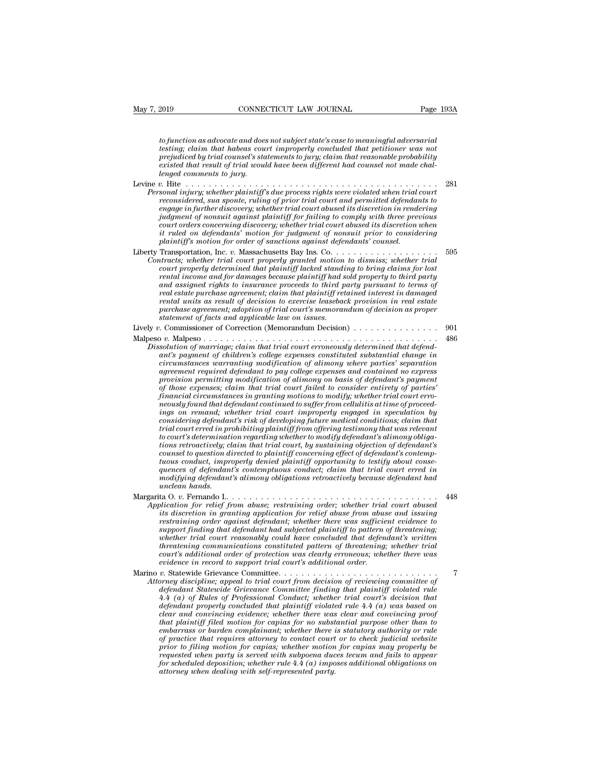*to function as advocate and does not subject state's case to meaningful adversarial*<br>*to function as advocate and does not subject state's case to meaningful adversarial*<br>*testing; claim that habeas court improperly concl testing; convention as advocate and does not subject state's case to meaningful adversarial*<br>*to function as advocate and does not subject state's case to meaningful adversarial*<br>*testing; claim that habeas court improper Page 1938*<br> *prefunction as advocate and does not subject state's case to meaningful adversarial*<br> *prejudiced by trial counsel's statements to jury; claim that reasonable probability*<br> *prejudiced by trial counsel's stat* Page<br> *existed to function as advocate and does not subject state's case to meaningful adversarial*<br> *testing; claim that habeas court improperly concluded that petitioner was not*<br> *prejudiced by trial counsel's statement lenged comments to jury.* to function as advocate and does not subject state's case to meaningful adversarial<br>testing; claim that habeas court improperly concluded that petitioner was not<br>prejudiced by trial counsel's statements to jury; claim that *Personal in a sadvocate and does not subject state's case to meaningful adversarial*<br>testing; claim that habeas court improperly concluded that petitioner was not<br>prejudiced by trial counsel's statements to jury; claim th

- *reconsidered, sua sponta calculate that weed to subset the subsetting, claim that habeas court improperly concluded that perfitioner was not* prejudiced by trial counsel's statements to jury, claim that reasonable probabi *ensing, care trail rates soure impropery contained iait periodiced by trial coursel's statements to jury; claim that reasonable probability*<br>existed that result of trial would have been different had counsel not made chal *prejainted by trait courses s sudements to jury, caum had reasonable probability*<br>*existed that result of trial would have been different had coursel not made chal-<br>lenged comments to jury.*<br> $\upsilon$ . Hite  $\ldots$ ............. *court orders concerning discovery; whether trial court abused its discretion when it ruled on defendants' motion for judgment of nonsuit prior to considering p*. Hite  $\ldots$  *plaintiff's due process rights were violated when trial spand injury; whether plaintiff's due process rights were violated when trial enreconsidered, sua sponte, ruling of prior trial court and permitted d* reconsidered, sua sponte, ruling of prior trial court and permitted defendants to<br>engage in further discovery; whether trial court abused its discretion in rendering<br>judgment of nonsuit against plaintiff for failing to com *Contracts; whether trial court and primal court and primate algement of nonsuit against plaintiff for failing to comply with three previous court orders concerning discovery; whether trial court abused its discretion in r court orders in the instocure is, the there is no in the court of nonsuit against plaintiff for failing to comply with three previous* court orders concerning discovery, whether trial court abused its discretion when it r *rental in constant appears plaintiff your jumpy to compty and the precious plaintiff's motion for judgment of nonsuit prior to considering plaintiff's motion for order of sanctions against defendants' counsel.*<br>Transporta *and and assigned rights to insurance rights in the contribution dissigned rights rights in the defendants' motion for pindyment of nonsuit prior to considering plaintiff's motion for order of sanctions against defendants' real on degraduats motion for juagreent of nonsidering the considering plaintiff's motion for order of sanctions against defendants' counsel.*<br>Transportation, Inc. *v.* Massachusetts Bay Ins. Co. . . . . . . . . . . . . . *rental units as result of decision to exercise leaseback provision in real estate purchase agreement; adoption of trial court's memorandum of decision as proper ttracts; whether trial court property granted motion*<br>*court properly determined that plaintiff lacked standi<br>rental income and for damages because plaintiff had s<br>and assigned rights to insurance proceeds to third p<br>real* court properly determined that plaintiff lacked standing to bring claims for lost<br>rental income and for damages because plaintiff had sold property to third party<br>and assigned rights to insurance proceeds to third party pu and assigned rights to insurance proceeds to third party pursuant to terms of<br>real estate purchase agreement; claim that plaintiff retained interest in damaged<br>rental units as result of decision to exercise leaseback provi *Pread estate purchase agreement; claim that plaintiff retained interest in damaged*<br> *Pread units as result of decision to exercise leaseback provision in real estate<br>
purchase agreement; adoption of trial court's memoran antial units as result of decision to exercise leaseback provision in real estate*<br>*purchase agreement; adoption of trial court's memorandum of decision as proper*<br>*statement of facts and applicable law on issues.*<br>*a*. C *computer that the agreement; adoption of trial court's memorandum of decision as proper*<br> *commissioner of Correction (Memorandum Decision)*<br> *c*. Malpeso<br> *c.* Malpeso<br> *c. Malpeso*<br> *c. Malpeso*<br> *c. Malpeso*<br> *c. Commi agrement of facts and applicable law on issues.*<br> *agreement of facts and applicable law on issues.*<br> **agreement of correction (Memorandum Decision)**<br> **agreement of marriage, claim that trial court erroneously determined** *p p p p modison permitting modification of marriage; claim that trial court erroneously determined that defendant's payment of children's college expenses constituted substantial change in circumstances warranti of those expenses; claim that trial court failed to consider entirety of parties'*
- *financial circumstances in granting motions to modify; whether trial court erro*ant's payment of children's college expenses constituted substantial change in<br>circumstances warranting modification of alimony where parties' separation<br>agreement required defendant to pay college expenses and contained n ant's payment of children's college expenses constituted substantial change in<br>circumstances warranting modification of alimony where parties' separation<br>agreement required defendant to pay college expenses and contained n *corroumstances warranting modification of alimony where parties' separation*<br>agreement required defendant to pay college expenses and contained no express<br>provision permitting modification of alimony on basis of defendant agreement required defendant to pay college expenses and contained no express<br>provision permitting modification of alimony on basis of defendant's payment<br>of those expenses; claim that trial court failed to consider entire provision permitting modification of alimony on basis of defendant's payment<br>of those expenses; claim that trial court failed to consider entirety of parties<br>financial circumstances in granting motions to modify; whether t of those expenses; claim that trial court failed to consider entirety of parties<br>financial circumstances in granting motions to modify; whether trial court erro-<br>meously found that defendant continued to suffer from cellul *financial circumstances in granting motions to modify; whether trial court erro-*<br>neously found that defendant continued to suffer from cellulits at time of proceed-<br>ings on remand; whether trial court improperly engaged *neously found that defendant continued to suffer from cellulitis at time of proceedings on remand; whether trial court improperly engaged in speculation by considering defendant's risk of developing future medical conditi guences on remand; whether trual court improperty engaged in speculation by*<br>considering defendant's risk of developing future medical conditions; claim that<br>trial court erred in prohibiting plaintiff from offering testim considering defendant's risk of developing future medical conditions; claim that<br>trial court's determination regarding whether to modify defendant's alimony obliga-<br>tions retroactively; claim that trial court, by sustainin *und court erred in productions retroactively; chiminal counsel to question d*<br>*tions retroactively; chiminal counsel to question d*<br>*tuous conduct, impropences of defendant*<br>*modifying defendant*<br>*unclean hands.*<br>ta O. v. *v. our setermatation is quite all court, by sustaining objection of defendant's*<br>tions retroactively; claim that trial court, by sustaining objection of defendant's<br>counsel to question directed to plaintiff concerning eff *Application for relief from abuse; restraining order; whether trial courts order to plantiff concerning effect of defendant's contemptions conduct, improperty denied plaintiff opportunity to testify about consequences of is discretion in tectual parally dening exercising expectivity to testify about consequences of defendant's contemptuous conduct; claim that trial court erred in modifying defendant's alimony obligations retroactively bec*
- 

*restainant, impropery dential parametical propertional defendant's contemptions conduct; claim that trial court erred in*<br>modifying defendant's alimony obligations retroactively because defendant had<br>unclean hands.<br>ta O. *support finding that defendant had subjected plaintiff to pattern of threatening; whether trial court reasonably could have concluded that defendant's written threaten hands.*<br> **thack only a following community of the community of the set of the set of the site discretion in granting application for relief abuse from abuse and issuing<br>
restraining order against defendant; wheth** *court is a court of from abuse; restraining order; whether trial court abused* blication for relief from abuse; restraining order; whether trial court abused its discretion in gradinst defendant; whether there was suffici *Application for relief from abuse; restraining order; whether trial court abused*<br>its discretion in granting application for relief abuse from abuse and issuing<br>restraining order against defendant; whether there was suffi essimiling order against defendant; whether there was sufficient evidence to<br>restraining order against defendant had subjected plaintiff to pattern of threatening;<br>whether trial court reasonably could have concluded that d *Attorney discipline; appeal to trial court from defendant and subjected plaintiff to pattern of threatening;*<br>whether trial court reasonably could have concluded that defendant's written<br>threatening communications consti *defendant defendant defendant add slopeted plaintiff we particularly defendant's written*<br>threatening communications constituted pattern of threatening; whether trial<br>court's additional order of protection was clearly err

*A.4 (a) of Rules of Professional Additional Conductional Conductional Court's decisional order of protection was clearly erroneous; whether trial court's decisional order of protection was clearly erroneous; whether there defendant properly concluded that plaintiff violated rule 4.4 (a) was based on clear and convincing evidence; whether there was clear and convincing proof that plaintiff filed motion for capias for no substantial purpose other than to embarrass or burden complainant; whether there is statutory authority or rule of practice that court from decision of reviewing committee of*<br>defendant Statewide Grievance Committee finding that plaintiff violated rule<br> $4.4$  (a) of Rules of Professional Conduct; whether trial court's decision that<br> *defendant Statewide Grievance Committee finding that plaintiff violated rule*  $4.4$  (a) of Rules of Professional Conduct; whether trial court's decision that defendant properly concluded that plaintiff violated rule  $4.4$  $4.4$  (a) of Rules of Professional Conduct; whether trial court's decision that defendant properly concluded that plaintiff violated rule  $4.4$  (a) was based on clear and convincing evidence; whether there was clear and c *defendant property concluded that planntyf voldted rule 4.4 (a) was based on clear and convincing evidence; whether there was clear and convincing proof that plaintiff filed motion for capias for no substantial purpose ot clear and convincing evidence; whether there was<br>that plaintiff filed motion for capias for no substendarizas or burden complainant; whether there is<br>ef practice that requires attorney to contact court<br>prior to filing mot*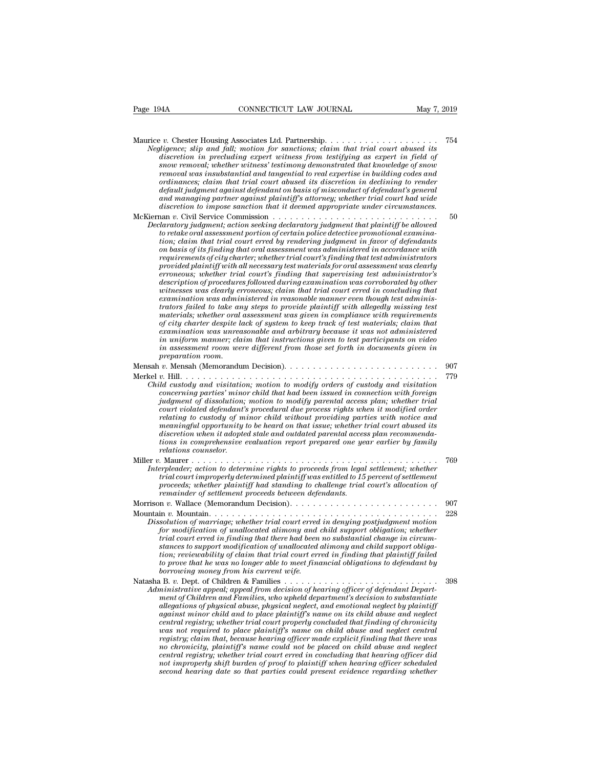| .                                                     | 75 |
|-------------------------------------------------------|----|
| ut trial court abused its<br>na ac armart in field of |    |

| CONNECTICUT LAW JOURNAL<br>Page 194A<br>May 7, 2019                                                                                                                                                                                                                                                                                                                                                                                                                                                                                                                                                                                                                                                                                                                                                                                                                                                                                                                                                                                                                                                                                                                                                                                                                                                                                                                                                      |            |
|----------------------------------------------------------------------------------------------------------------------------------------------------------------------------------------------------------------------------------------------------------------------------------------------------------------------------------------------------------------------------------------------------------------------------------------------------------------------------------------------------------------------------------------------------------------------------------------------------------------------------------------------------------------------------------------------------------------------------------------------------------------------------------------------------------------------------------------------------------------------------------------------------------------------------------------------------------------------------------------------------------------------------------------------------------------------------------------------------------------------------------------------------------------------------------------------------------------------------------------------------------------------------------------------------------------------------------------------------------------------------------------------------------|------------|
| Maurice v. Chester Housing Associates Ltd. Partnership<br>Negligence; slip and fall; motion for sanctions; claim that trial court abused its<br>discretion in precluding expert witness from testifying as expert in field of<br>snow removal; whether witness' testimony demonstrated that knowledge of snow<br>removal was insubstantial and tangential to real expertise in building codes and<br>ordinances; claim that trial court abused its discretion in declining to render<br>default judgment against defendant on basis of misconduct of defendant's general<br>and managing partner against plaintiff's attorney; whether trial court had wide<br>discretion to impose sanction that it deemed appropriate under circumstances.                                                                                                                                                                                                                                                                                                                                                                                                                                                                                                                                                                                                                                                             | 754        |
| Declaratory judgment; action seeking declaratory judgment that plaintiff be allowed<br>to retake oral assessment portion of certain police detective promotional examina-<br>tion; claim that trial court erred by rendering judgment in favor of defendants<br>on basis of its finding that oral assessment was administered in accordance with<br>requirements of city charter; whether trial court's finding that test administrators<br>provided plaintiff with all necessary test materials for oral assessment was clearly<br>erroneous; whether trial court's finding that supervising test administrator's<br>description of procedures followed during examination was corroborated by other<br>witnesses was clearly erroneous; claim that trial court erred in concluding that<br>examination was administered in reasonable manner even though test adminis-<br>trators failed to take any steps to provide plaintiff with allegedly missing test<br>materials; whether oral assessment was given in compliance with requirements<br>of city charter despite lack of system to keep track of test materials; claim that<br>examination was unreasonable and arbitrary because it was not administered<br>in uniform manner; claim that instructions given to test participants on video<br>in assessment room were different from those set forth in documents given in<br>preparation room. | 50         |
| Child custody and visitation; motion to modify orders of custody and visitation<br>concerning parties' minor child that had been issued in connection with foreign<br>judgment of dissolution; motion to modify parental access plan; whether trial<br>court violated defendant's procedural due process rights when it modified order<br>relating to custody of minor child without providing parties with notice and<br>meaningful opportunity to be heard on that issue; whether trial court abused its<br>discretion when it adopted stale and outdated parental access plan recommenda-<br>tions in comprehensive evaluation report prepared one year earlier by family<br>relations counselor.                                                                                                                                                                                                                                                                                                                                                                                                                                                                                                                                                                                                                                                                                                     | 907<br>779 |
| Miller $v$ . Maurer $\ldots$<br>Interpleader; action to determine rights to proceeds from legal settlement; whether<br>trial court improperly determined plaintiff was entitled to 15 percent of settlement<br>proceeds; whether plaintiff had standing to challenge trial court's allocation of<br>remainder of settlement proceeds between defendants.                                                                                                                                                                                                                                                                                                                                                                                                                                                                                                                                                                                                                                                                                                                                                                                                                                                                                                                                                                                                                                                 | 769        |
| Dissolution of marriage; whether trial court erred in denying postjudgment motion<br>for modification of unallocated alimony and child support obligation; whether<br>trial court erred in finding that there had been no substantial change in circum-<br>stances to support modification of unallocated alimony and child support obliga-<br>tion; reviewability of claim that trial court erred in finding that plaintiff failed<br>to prove that he was no longer able to meet financial obligations to defendant by<br>borrowing money from his current wife.                                                                                                                                                                                                                                                                                                                                                                                                                                                                                                                                                                                                                                                                                                                                                                                                                                       | 907<br>228 |
| $\ldots$<br>Administrative appeal; appeal from decision of hearing officer of defendant Depart-<br>ment of Children and Families, who upheld department's decision to substantiate<br>allegations of physical abuse, physical neglect, and emotional neglect by plaintiff<br>against minor child and to place plaintiff's name on its child abuse and neglect<br>central registry; whether trial court properly concluded that finding of chronicity<br>was not required to place plaintiff's name on child abuse and neglect central<br>registry; claim that, because hearing officer made explicit finding that there was<br>no chronicity, plaintiff's name could not be placed on child abuse and neglect<br>central registry; whether trial court erred in concluding that hearing officer did<br>not improperly shift burden of proof to plaintiff when hearing officer scheduled<br>second hearing date so that parties could present evidence regarding whether                                                                                                                                                                                                                                                                                                                                                                                                                                  | 398        |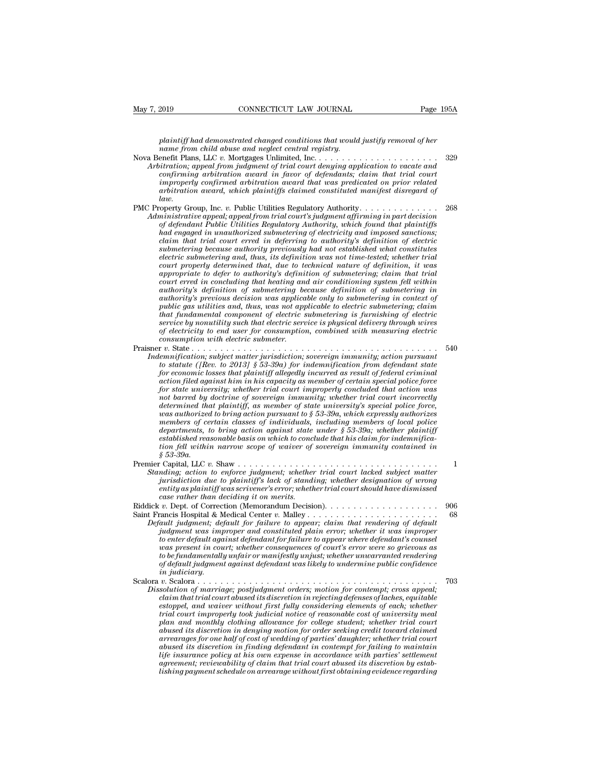*Page 1954*<br> *plaintiff had demonstrated changed conditions that would justify removal of her*<br> *plaintiff had demonstrated changed conditions that would justify removal of her*<br> *page 1999*<br> *page 1999*<br> *page 1999 name from child abuse and neglect central registry.*

- Nay 7, 2019 CONNECTICUT LAW JOURNAL Page 195A<br>
plaintiff had demonstrated changed conditions that would justify removal of her<br>
name from child abuse and neglect central registry.<br>
Nova Benefit Plans, LLC *v.* Mortgages Un *Arbitration; appeal from index from index from index from galaxia from child abuse and neglect central registry.*<br> *Arbitration; appeal from ying appeal from judgment of trial court denying appeal from index and neglect c confirming arbitration, appeal from judgment of trial court denying application to vacate and confirming arbitration award in favor of defendants; claim that trial court improperly confirmed arbitration award that was pre improperly confirmed arbitration award that was predicated on prior related arrow plaintiff had demonstrated changed conditions that would justify removal of her*<br> *arame from child abuse and neglect central registry.*<br> *arefit Plans, LLC v. Mortgages Unlimited, Inc.*<br> *arbitration, appeal from j* PMC Property Group, Inc. *v.* Public Utilities Regulatory Authority. . . . . . . . . . . . . . <sup>268</sup> *Arbitration; appeal from judgment of trial court denying application to vacate and confirming arbitration award in favor of defendants; claim that trial court improperly confirmed arbitration award that was predicated on*
- *law.*<br>PMC Property Group, Inc. v. Public Utilities Regulatory Authority. . . . . . . . . . . . . . . . *of defendant and and influence and influence and confirming arbitration award in favor of defendants; claim that trial court arbitration award, which plaintiffs claimed constituted manifest disregard of law.*<br> *operty Gro confirming arourration award in Javor of agendants; claim that trial court inproperly confirmed arbitration award that was predicated on prior related arbitration award, which plaintiffs claimed constituted manifest disre comproperty confirmed arouration award indivisor predicated on prior related anity dividential constituted manifest disregard of* anity and the trial court of the Utilities Regulatory Authority.<br> *coverty Group, Inc. v. P strouration awara, which parnityfs carmed constituted manifest aisregara of*<br> *submetry Group, Inc. v. Public Utilities Regulatory Authority.*<br> *nimistrative appeal, appeal from trial court's judgment affirming in part de electric submetering and, thus in the electric submetering and the ministrative appeal; appeal from trial court's judgment affirming in part decision* of defendant Public Utilities Regulatory Authority, which found that p *court properly determined that, due to technical nature of definition, it was appropriative appeal, appeal from trad court's judgment affirming in part decision* of defendant Public Utilities Regulatory Authority, which found that plaintiffs had engaged in unauthorized submetering of electric subme *cof defendant Public Utilities Regulatory Authority, which found that plaintiffs*<br> *colaim that trial court erred in deferring to authority's definition of electric<br>
submetering because authority previously had not establ authorized submetering of electricity and imposed sanctions;*<br>
claim that trial court erred in deferring to authority's definition of electric<br>
submetering because authority previously had not established what constitutes *claim that trial court erred in deferring to authority's definition of electric*<br>submetering because authority previously had not established what constitutes<br>electric submetering and, thus, its definition was not time-te *public gas utilitionally previously had not established what constitutes*<br> *publicative submetering and, thus, its definition was not time-tested; whether trial*<br> *appropriate to defer to authority's definition of submete Electric submetering and, thus, its definition was not time-tested; whether trial court properly determined that, due to technical nature of definition, it was appropriate to defer to authority's definition of submetering court property determined that, due to technical nature of definition, it was* appropriate to defer to authority's definition of submetering; claim that trial court erred in concluding that heating and air conditioning sy *of electricity to defer to authority's definition of submetering; claim that trial court erred in concluding that heating and air conditioning system fell within authority's definition of submetering in authority's previo court erred in concluding that heating an*<br>*cuthority's previous decision was applicanting beauthority's previous decision was applicanting public gas utilities and, thus, was not app<br>public gas utilities and, thus, was n* maturity's acymuton of submetering occuse acymuton of submetering in<br>authority's previous decision was applicable only to submetering in context of<br>public gas utilities and, thus, was not applicable to electric submetering *India* and their and, thus, was not applicable to electric submetering; dain<br>that fundamental component of electric submetering is furnishing of electric<br>service by nonutility such that electric service is physical delive public gas uturnes and, thus, was not applicable to electric submetering; claim<br>that fundamental component of electric submetering is furnishing of electric<br>service by nonutility such that electric evice is physical delive
- *for economicial component of electric service is physical delivery through wires*<br> *for electricity to end user for consumption, combined with measuring electric<br>
consumption with electric submeter.*<br> *r*  $\upsilon$ . State . *action filed against him in his capacity as member of certain special police force for state with electric submeters* consumption, combined with measuring electric consumption with electric submeter.<br>  $f(x) = m$  when  $f(x) = m$  is the connection was termification, sovereign immunity; action pursuant<br>
to statu *not barred by doctrine of sovereign immunity; whether trial court incorrectly determination, subject matter jurisdiction, sovereign immunity, action pursuant*  $d$  *detail to statute ([Rev. to 2013] § 53-39a) for indemnification from defendant state for economic losses that plaintiff allegedly incur was authorized to and the supect matter jurnsdiction, sovereign immunity; action pursuant* to statute ([Rev. to 2013] § 53-39a) for indemnification from defendant state for economic losses that plaintiff allegedly incurre *to statute ([Rev. to 2013] § 53-39a) for indemnification from defendant state* for economic losses that plaintiff allegedly incurred as result of federal criminal action filed against him in his capacity as member of cer *department desses that plaintiff allegedly incurred as result of federal criminal*<br>action filed against him in his capacity as member of certain special police force<br>for state university; whether trial court improperly co action fited against him in his capacity as member of certain special police force<br>for state university; whether trial court impropely concluded that action was<br>not barred by doctrine of sovereign immunity; whether trial c *tor state unversity; whether trial court improperty concluded that action was* not barred by doctrine of sovereign immunity; whether trial court incorrectly determined that plaintiff, as member of state university's speci *determined that plaintiff, as member of state university's special police force,*<br>was authorized to bring action pursuant to § 53-39a, which expressly authorizes<br>members of certain classes of individuals, including member determined that paintiff), as member of state university's special police force,<br>was authorized to bring action pursuant to § 53-39a, which expressly authorizes<br>members of certain classes of individuals, including members *Mas authorized to oring action pursuant to s 35-39a, which expressly authorizes*<br> *Marginehers of certain classes of individuals, including members of local police<br>
departments, to bring action against state under § 53-39* members of certain classes of maiviauals, incluaing members of local police<br>departments, to bring action against state under § 53-39a; whether plaintiff<br>established reasonable basis on which to conclude that his claim for
- *departments, to oring action against state under § 53-39a; whether plaintiff* established reasonable basis on which to conclude that his claim for indemnification fell within narrow scope of waiver of sovereign immunity c *case rather than deciding it on merits.*<br> *case of waiver of sovereign immunity contained in*<br> *case 53-39a.*<br> **care rather than deciding:**<br> *cation to enforce judgment; whether trial court lacked subject matter<br>
<i>carity* Riddick *<sup>v</sup>*. Dept. of Correction (Memorandum Decision). . . . . . . . . . . . . . . . . . . . <sup>906</sup> Saint Francis Hospital & Medical Center *v.* Malley . . . . . . . . . . . . . . . . . . . . . . . <sup>68</sup> *Definal, LEC C. Shaw*<br>*Default jurisdiction due to plaintiff's lack of standing; whether designation of wrong<br><i>initial court should have dismissed*<br>*case rather than deciding it on merits.*<br> $\frac{1}{2}$ <br>*Default judgment; de*
- 
- *jurisdiction due to plaintiff's lack of standing; whether designation of wrong pentity as plaintiff was scrivener's error; whether trial court should have dismissed case rather than deciding it on merits.*<br> *v*. Dept. of *to entity as plainting to paramig is acted of standing, unedder designation of wrong case rather than deciding it on merits.*<br> *to age rather than deciding it on merits.*<br> *v*. Dept. of Correction (Memorandum Decision).<br> *was scribent in deciding it on merits.*<br> *was example than deciding it on merits.*<br> *w* Dept. of Correction (Memorandum Decision).<br> *was present in deciding it on merits.*<br> *wall judgment; default for failure to appear; c to be fundamentally unfair or manifestly unjust; whether unwarranted rendering of default judgment against defendant was likely to undermine public confidence in judiciary.* Default judgment; aefault for fature to appear; clarim that rendering of aefault<br> *i* digment was improper and constituted plain error; whether it was improper<br>
to enter default against defendant for failure to appear wher *Judgment was improper and constituted plain error; whether it was improper*<br>to enter default against defendant for failure to appear where defendant's coursel<br>was present in court; whether consequences of court's error we *comer agamt agamst agendant for fauure to appear where agendant s counset* was present in court; whether consequences of court's error were so grievous as to be fundamentally unjatir or manifestly unjust; whether unwarran
- *estand in court; whether consequences of court serror were so grievous as* to be fundamentally unfair or manifestly unjust; whether unwarranted rendering of default judgment against defendant was likely to undermine publi *to be junaamentaay unjarr or manijesuy unjust; whether unwarrantea renaering*<br>
of default judgment against defendant was likely to undermine public confidence<br> *in judiciary.*<br> *v. Scalora*<br> *v. Scalora*<br> *v. Scalora*<br> *v plan and monthly clothing allowance for college student; where the plant monthly conditain and montrage; postjudgment orders; motion for contempt; cross appeal; claim that trial court abused its discretion in rejecting de abused its discretion in finding defendant in contempt; cross appeal;*<br>
abustion of marriage; postjudgment orders; motion for contempt; cross appeal;<br>
claim that trial court abused its discretion in rejecting defenses of *arrearages for one half of cost of wedding of parties' daughter; whether trial court abution of marriage; postfudgment orders; motion for contempt; cross appeal;*<br>claim that trial court abused its discretion in rejecting defenses of laches, equitable<br>estoppel, and waiver without first fully considering el *clarm that traal court abused us discretion in regecting defenses of laches, equitable*<br>estoppel, and waiver without first fully considering elements of each; whether<br>trial court improperly took judicial notice of reasona estoppel, and waver without first fully considering elements of each; whether<br>trial court improperly took judicial notice of reasonable cost of university meal<br>plan and monthly clothing allowance for college student; wheth plan and monthly clothing allowance for college student; whether trial court<br>abused its discretion in denying motion for order seeking credit toward claimed<br>arrearages for one half of cost of wedding of parties' daughter;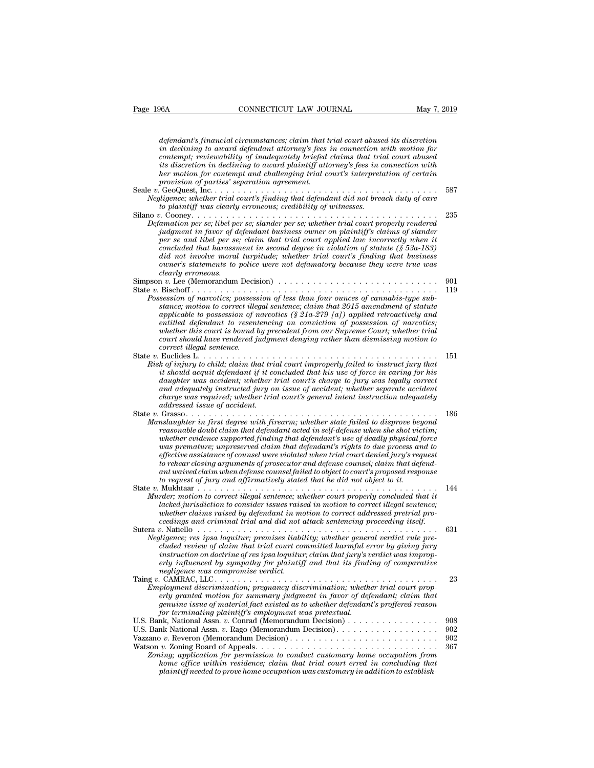| Page 196A<br>CONNECTICUT LAW JOURNAL                                                                                                                                                                                                                                                                                                                                                                                                                                                                                                                                                                                                                                                                                               | May 7, 2019 |
|------------------------------------------------------------------------------------------------------------------------------------------------------------------------------------------------------------------------------------------------------------------------------------------------------------------------------------------------------------------------------------------------------------------------------------------------------------------------------------------------------------------------------------------------------------------------------------------------------------------------------------------------------------------------------------------------------------------------------------|-------------|
| defendant's financial circumstances; claim that trial court abused its discretion<br>in declining to award defendant attorney's fees in connection with motion for<br>contempt; reviewability of inadequately briefed claims that trial court abused<br>its discretion in declining to award plaintiff attorney's fees in connection with<br>her motion for contempt and challenging trial court's interpretation of certain                                                                                                                                                                                                                                                                                                       |             |
| provision of parties' separation agreement.<br>Negligence; whether trial court's finding that defendant did not breach duty of care<br>to plaintiff was clearly erroneous; credibility of witnesses.                                                                                                                                                                                                                                                                                                                                                                                                                                                                                                                               | 587         |
| Defamation per se; libel per se; slander per se; whether trial court properly rendered<br>judgment in favor of defendant business owner on plaintiff's claims of slander<br>per se and libel per se; claim that trial court applied law incorrectly when it<br>concluded that hardssment in second degree in violation of statute $(\S 53a-183)$<br>did not involve moral turpitude; whether trial court's finding that business<br>owner's statements to police were not defamatory because they were true was<br>clearly erroneous.                                                                                                                                                                                              | 235         |
| Simpson $v$ . Lee (Memorandum Decision) $\ldots \ldots \ldots \ldots \ldots \ldots \ldots \ldots \ldots \ldots$                                                                                                                                                                                                                                                                                                                                                                                                                                                                                                                                                                                                                    | 901         |
| Possession of narcotics; possession of less than four ounces of cannabis-type sub-<br>stance; motion to correct illegal sentence; claim that 2015 amendment of statute<br>applicable to possession of narcotics $(\S 21a-279 \text{ [a]})$ applied retroactively and<br>entitled defendant to resentencing on conviction of possession of narcotics;<br>whether this court is bound by precedent from our Supreme Court; whether trial<br>court should have rendered judgment denying rather than dismissing motion to<br>correct illegal sentence.                                                                                                                                                                                | 119         |
| State $v$ . Euclides L<br>.<br>Risk of injury to child; claim that trial court improperly failed to instruct jury that<br>it should acquit defendant if it concluded that his use of force in caring for his<br>daughter was accident; whether trial court's charge to jury was legally correct<br>and adequately instructed jury on issue of accident; whether separate accident<br>charge was required; whether trial court's general intent instruction adequately<br>addressed issue of accident.                                                                                                                                                                                                                              | 151         |
| State $v$ . Grasso<br>Manslaughter in first degree with firearm; whether state failed to disprove beyond<br>reasonable doubt claim that defendant acted in self-defense when she shot victim;<br>whether evidence supported finding that defendant's use of deadly physical force<br>was premature; unpreserved claim that defendant's rights to due process and to<br>effective assistance of counsel were violated when trial court denied jury's request<br>to rehear closing arguments of prosecutor and defense counsel; claim that defend-<br>$ant\,waived\, claim\,when\, defense\,counselfailed\,to\,object\,to\,court's\,proposed\,response$<br>to request of jury and affirmatively stated that he did not object to it. | 186         |
| Murder; motion to correct illegal sentence; whether court properly concluded that it<br>lacked jurisdiction to consider issues raised in motion to correct illegal sentence;<br>whether claims raised by defendant in motion to correct addressed pretrial pro-<br>ceedings and criminal trial and did not attack sentencing proceeding itself.                                                                                                                                                                                                                                                                                                                                                                                    | 144         |
| Negligence; res ipsa loquitur; premises liability; whether general verdict rule pre-<br>cluded review of claim that trial court committed harmful error by giving jury<br>instruction on doctrine of res ipsa loquitur; claim that jury's verdict was improp-<br>erly influenced by sympathy for plaintiff and that its finding of comparative<br>negligence was compromise verdict.                                                                                                                                                                                                                                                                                                                                               | 631         |
| Employment discrimination; pregnancy discrimination; whether trial court prop-<br>erly granted motion for summary judgment in favor of defendant; claim that<br>genuine issue of material fact existed as to whether defendant's proffered reason<br>for terminating plaintiff's employment was pretextual.                                                                                                                                                                                                                                                                                                                                                                                                                        | 23          |
| U.S. Bank, National Assn. v. Conrad (Memorandum Decision)                                                                                                                                                                                                                                                                                                                                                                                                                                                                                                                                                                                                                                                                          | 908         |
| U.S. Bank National Assn. v. Rago (Memorandum Decision).                                                                                                                                                                                                                                                                                                                                                                                                                                                                                                                                                                                                                                                                            | 902         |
| Zoning; application for permission to conduct customary home occupation from<br>home office within residence; claim that trial court erred in concluding that<br>plaintiff needed to prove home occupation was customary in addition to establish-                                                                                                                                                                                                                                                                                                                                                                                                                                                                                 | 902<br>367  |